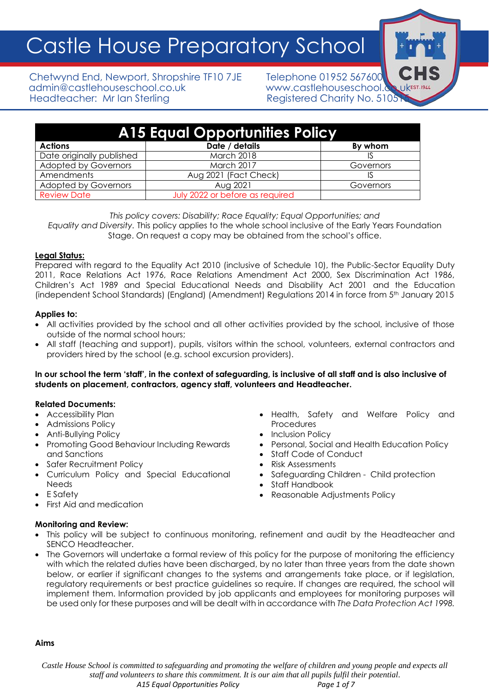Castle House Preparatory School

Chetwynd End, Newport, Shropshire TF10 7JE Telephone 01952 567600 admin@castlehouseschool.co.uk www.castlehouseschool.co.uk Headteacher: Mr Ian Sterling Theory Registered Charity No. 5105

| <b>A15 Equal Opportunities Policy</b> |                                 |           |
|---------------------------------------|---------------------------------|-----------|
| <b>Actions</b>                        | Date / details                  | By whom   |
| Date originally published             | <b>March 2018</b>               |           |
| <b>Adopted by Governors</b>           | <b>March 2017</b>               | Governors |
| Amendments                            | Aug 2021 (Fact Check)           |           |
| <b>Adopted by Governors</b>           | Aug 2021                        | Governors |
| <b>Review Date</b>                    | July 2022 or before as required |           |

*This policy covers: Disability; Race Equality; Equal Opportunities; and Equality and Diversity.* This policy applies to the whole school inclusive of the Early Years Foundation Stage. On request a copy may be obtained from the school's office.

## **Legal Status:**

Prepared with regard to the Equality Act 2010 (inclusive of Schedule 10), the Public-Sector Equality Duty 2011, Race Relations Act 1976, Race Relations Amendment Act 2000, Sex Discrimination Act 1986, Children's Act 1989 and Special Educational Needs and Disability Act 2001 and the Education (independent School Standards) (England) (Amendment) Regulations 2014 in force from 5th January 2015

## **Applies to:**

- All activities provided by the school and all other activities provided by the school, inclusive of those outside of the normal school hours;
- All staff (teaching and support), pupils, visitors within the school, volunteers, external contractors and providers hired by the school (e.g. school excursion providers).

## **In our school the term 'staff', in the context of safeguarding, is inclusive of all staff and is also inclusive of students on placement, contractors, agency staff, volunteers and Headteacher.**

## **Related Documents:**

- Accessibility Plan
- Admissions Policy
- Anti-Bullying Policy
- Promoting Good Behaviour Including Rewards and Sanctions
- Safer Recruitment Policy
- Curriculum Policy and Special Educational Needs
- E Safety
- First Aid and medication

#### Procedures **Inclusion Policy** • Personal, Social and Health Education Policy

• Health, Safety and Welfare Policy and

- Staff Code of Conduct
- Risk Assessments
- Safeguarding Children Child protection
- Staff Handbook
- Reasonable Adjustments Policy

- **Monitoring and Review:**
- This policy will be subject to continuous monitoring, refinement and audit by the Headteacher and SENCO Headteacher.
- The Governors will undertake a formal review of this policy for the purpose of monitoring the efficiency with which the related duties have been discharged, by no later than three years from the date shown below, or earlier if significant changes to the systems and arrangements take place, or if legislation, regulatory requirements or best practice guidelines so require. If changes are required, the school will implement them. Information provided by job applicants and employees for monitoring purposes will be used only for these purposes and will be dealt with in accordance with *The Data Protection Act 1998.*

## **Aims**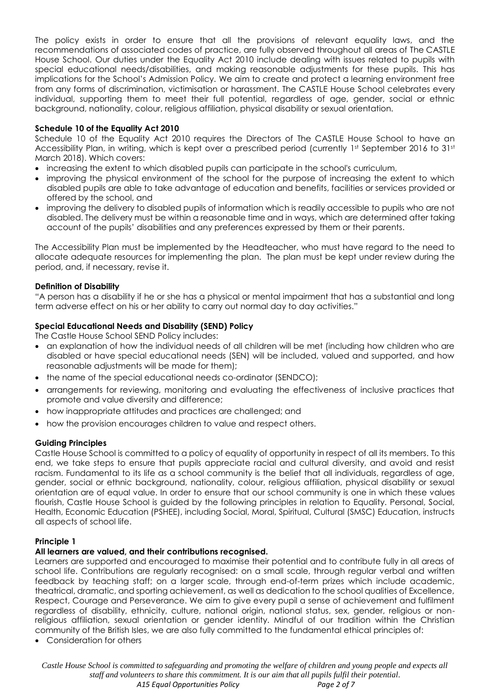The policy exists in order to ensure that all the provisions of relevant equality laws, and the recommendations of associated codes of practice, are fully observed throughout all areas of The CASTLE House School. Our duties under the Equality Act 2010 include dealing with issues related to pupils with special educational needs/disabilities, and making reasonable adjustments for these pupils. This has implications for the School's Admission Policy. We aim to create and protect a learning environment free from any forms of discrimination, victimisation or harassment. The CASTLE House School celebrates every individual, supporting them to meet their full potential, regardless of age, gender, social or ethnic background, nationality, colour, religious affiliation, physical disability or sexual orientation.

## **Schedule 10 of the Equality Act 2010**

Schedule 10 of the Equality Act 2010 requires the Directors of The CASTLE House School to have an Accessibility Plan, in writing, which is kept over a prescribed period (currently 1st September 2016 to 31st March 2018). Which covers:

- increasing the extent to which disabled pupils can participate in the school's curriculum,
- improving the physical environment of the school for the purpose of increasing the extent to which disabled pupils are able to take advantage of education and benefits, facilities or services provided or offered by the school, and
- improving the delivery to disabled pupils of information which is readily accessible to pupils who are not disabled. The delivery must be within a reasonable time and in ways, which are determined after taking account of the pupils' disabilities and any preferences expressed by them or their parents.

The Accessibility Plan must be implemented by the Headteacher, who must have regard to the need to allocate adequate resources for implementing the plan. The plan must be kept under review during the period, and, if necessary, revise it.

## **Definition of Disability**

"A person has a disability if he or she has a physical or mental impairment that has a substantial and long term adverse effect on his or her ability to carry out normal day to day activities."

## **Special Educational Needs and Disability (SEND) Policy**

The Castle House School SEND Policy includes:

- an explanation of how the individual needs of all children will be met (including how children who are disabled or have special educational needs (SEN) will be included, valued and supported, and how reasonable adjustments will be made for them);
- the name of the special educational needs co-ordinator (SENDCO);
- arrangements for reviewing, monitoring and evaluating the effectiveness of inclusive practices that promote and value diversity and difference;
- how inappropriate attitudes and practices are challenged; and
- how the provision encourages children to value and respect others.

## **Guiding Principles**

Castle House School is committed to a policy of equality of opportunity in respect of all its members. To this end, we take steps to ensure that pupils appreciate racial and cultural diversity, and avoid and resist racism. Fundamental to its life as a school community is the belief that all individuals, regardless of age, gender, social or ethnic background, nationality, colour, religious affiliation, physical disability or sexual orientation are of equal value. In order to ensure that our school community is one in which these values flourish, Castle House School is guided by the following principles in relation to Equality. Personal, Social, Health, Economic Education (PSHEE), including Social, Moral, Spiritual, Cultural (SMSC) Education, instructs all aspects of school life.

## **Principle 1**

## **All learners are valued, and their contributions recognised.**

Learners are supported and encouraged to maximise their potential and to contribute fully in all areas of school life. Contributions are regularly recognised: on a small scale, through regular verbal and written feedback by teaching staff; on a larger scale, through end-of-term prizes which include academic, theatrical, dramatic, and sporting achievement, as well as dedication to the school qualities of Excellence, Respect, Courage and Perseverance. We aim to give every pupil a sense of achievement and fulfilment regardless of disability, ethnicity, culture, national origin, national status, sex, gender, religious or nonreligious affiliation, sexual orientation or gender identity. Mindful of our tradition within the Christian community of the British Isles, we are also fully committed to the fundamental ethical principles of:

• Consideration for others

*Castle House School is committed to safeguarding and promoting the welfare of children and young people and expects all staff and volunteers to share this commitment. It is our aim that all pupils fulfil their potential. A15 Equal Opportunities Policy Page 2 of 7*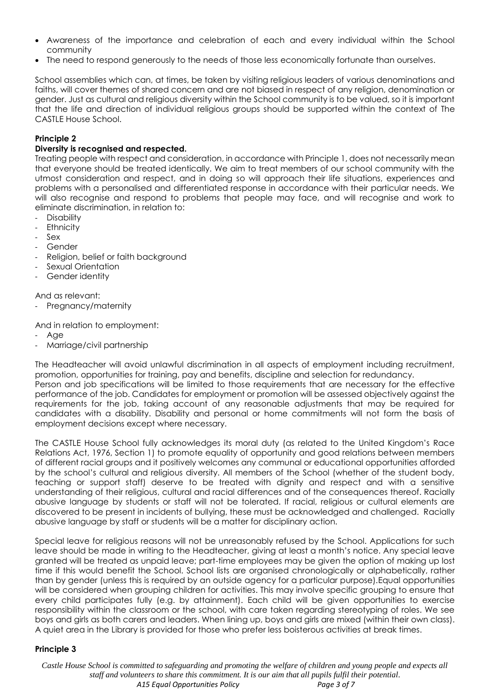- Awareness of the importance and celebration of each and every individual within the School community
- The need to respond generously to the needs of those less economically fortunate than ourselves.

School assemblies which can, at times, be taken by visiting religious leaders of various denominations and faiths, will cover themes of shared concern and are not biased in respect of any religion, denomination or gender. Just as cultural and religious diversity within the School community is to be valued, so it is important that the life and direction of individual religious groups should be supported within the context of The CASTLE House School.

## **Principle 2**

## **Diversity is recognised and respected.**

Treating people with respect and consideration, in accordance with Principle 1, does not necessarily mean that everyone should be treated identically. We aim to treat members of our school community with the utmost consideration and respect, and in doing so will approach their life situations, experiences and problems with a personalised and differentiated response in accordance with their particular needs. We will also recognise and respond to problems that people may face, and will recognise and work to eliminate discrimination, in relation to:

- **Disability**
- **Ethnicity**
- Sex
- **Gender**
- Religion, belief or faith background
- Sexual Orientation
- Gender identity

And as relevant:

- Pregnancy/maternity

And in relation to employment:

- Age
- Marriage/civil partnership

The Headteacher will avoid unlawful discrimination in all aspects of employment including recruitment, promotion, opportunities for training, pay and benefits, discipline and selection for redundancy. Person and job specifications will be limited to those requirements that are necessary for the effective performance of the job. Candidates for employment or promotion will be assessed objectively against the requirements for the job, taking account of any reasonable adjustments that may be required for candidates with a disability. Disability and personal or home commitments will not form the basis of employment decisions except where necessary.

The CASTLE House School fully acknowledges its moral duty (as related to the United Kingdom's Race Relations Act, 1976, Section 1) to promote equality of opportunity and good relations between members of different racial groups and it positively welcomes any communal or educational opportunities afforded by the school's cultural and religious diversity. All members of the School (whether of the student body, teaching or support staff) deserve to be treated with dignity and respect and with a sensitive understanding of their religious, cultural and racial differences and of the consequences thereof. Racially abusive language by students or staff will not be tolerated. If racial, religious or cultural elements are discovered to be present in incidents of bullying, these must be acknowledged and challenged. Racially abusive language by staff or students will be a matter for disciplinary action.

Special leave for religious reasons will not be unreasonably refused by the School. Applications for such leave should be made in writing to the Headteacher, giving at least a month's notice. Any special leave granted will be treated as unpaid leave; part-time employees may be given the option of making up lost time if this would benefit the School. School lists are organised chronologically or alphabetically, rather than by gender (unless this is required by an outside agency for a particular purpose).Equal opportunities will be considered when grouping children for activities. This may involve specific grouping to ensure that every child participates fully (e.g. by attainment). Each child will be given opportunities to exercise responsibility within the classroom or the school, with care taken regarding stereotyping of roles. We see boys and girls as both carers and leaders. When lining up, boys and girls are mixed (within their own class). A quiet area in the Library is provided for those who prefer less boisterous activities at break times.

## **Principle 3**

*Castle House School is committed to safeguarding and promoting the welfare of children and young people and expects all staff and volunteers to share this commitment. It is our aim that all pupils fulfil their potential. A15 Equal Opportunities Policy Page 3 of 7*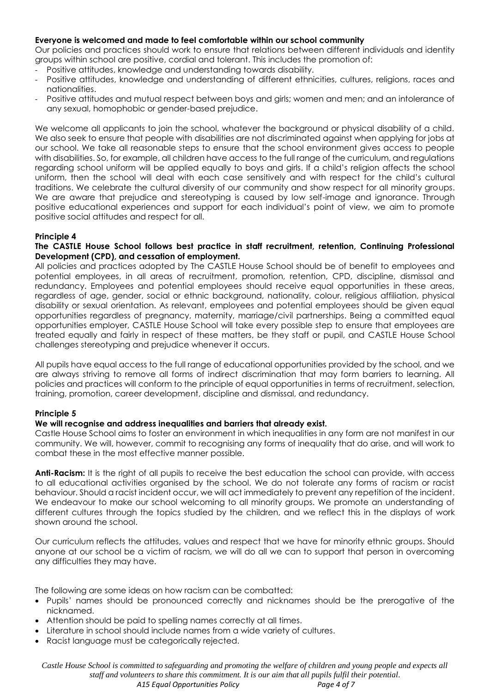## **Everyone is welcomed and made to feel comfortable within our school community**

Our policies and practices should work to ensure that relations between different individuals and identity groups within school are positive, cordial and tolerant. This includes the promotion of:

- Positive attitudes, knowledge and understanding towards disability.
- Positive attitudes, knowledge and understanding of different ethnicities, cultures, religions, races and nationalities.
- Positive attitudes and mutual respect between boys and girls; women and men; and an intolerance of any sexual, homophobic or gender-based prejudice.

We welcome all applicants to join the school, whatever the background or physical disability of a child. We also seek to ensure that people with disabilities are not discriminated against when applying for jobs at our school. We take all reasonable steps to ensure that the school environment gives access to people with disabilities. So, for example, all children have access to the full range of the curriculum, and regulations regarding school uniform will be applied equally to boys and girls. If a child's religion affects the school uniform, then the school will deal with each case sensitively and with respect for the child's cultural traditions. We celebrate the cultural diversity of our community and show respect for all minority groups. We are aware that prejudice and stereotyping is caused by low self-image and ignorance. Through positive educational experiences and support for each individual's point of view, we aim to promote positive social attitudes and respect for all.

## **Principle 4**

### **The CASTLE House School follows best practice in staff recruitment, retention, Continuing Professional Development (CPD), and cessation of employment.**

All policies and practices adopted by The CASTLE House School should be of benefit to employees and potential employees, in all areas of recruitment, promotion, retention, CPD, discipline, dismissal and redundancy. Employees and potential employees should receive equal opportunities in these areas, regardless of age, gender, social or ethnic background, nationality, colour, religious affiliation, physical disability or sexual orientation. As relevant, employees and potential employees should be given equal opportunities regardless of pregnancy, maternity, marriage/civil partnerships. Being a committed equal opportunities employer, CASTLE House School will take every possible step to ensure that employees are treated equally and fairly in respect of these matters, be they staff or pupil, and CASTLE House School challenges stereotyping and prejudice whenever it occurs.

All pupils have equal access to the full range of educational opportunities provided by the school, and we are always striving to remove all forms of indirect discrimination that may form barriers to learning. All policies and practices will conform to the principle of equal opportunities in terms of recruitment, selection, training, promotion, career development, discipline and dismissal, and redundancy.

## **Principle 5**

## **We will recognise and address inequalities and barriers that already exist.**

Castle House School aims to foster an environment in which inequalities in any form are not manifest in our community. We will, however, commit to recognising any forms of inequality that do arise, and will work to combat these in the most effective manner possible.

**Anti-Racism:** It is the right of all pupils to receive the best education the school can provide, with access to all educational activities organised by the school. We do not tolerate any forms of racism or racist behaviour. Should a racist incident occur, we will act immediately to prevent any repetition of the incident. We endeavour to make our school welcoming to all minority groups. We promote an understanding of different cultures through the topics studied by the children, and we reflect this in the displays of work shown around the school.

Our curriculum reflects the attitudes, values and respect that we have for minority ethnic groups. Should anyone at our school be a victim of racism, we will do all we can to support that person in overcoming any difficulties they may have.

The following are some ideas on how racism can be combatted:

- Pupils' names should be pronounced correctly and nicknames should be the prerogative of the nicknamed.
- Attention should be paid to spelling names correctly at all times.
- Literature in school should include names from a wide variety of cultures.
- Racist language must be categorically rejected.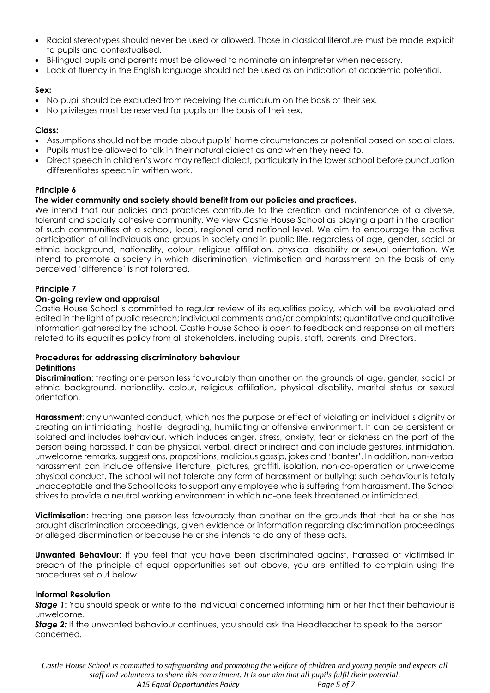- Racial stereotypes should never be used or allowed. Those in classical literature must be made explicit to pupils and contextualised.
- Bi-lingual pupils and parents must be allowed to nominate an interpreter when necessary.
- Lack of fluency in the English language should not be used as an indication of academic potential.

## **Sex:**

- No pupil should be excluded from receiving the curriculum on the basis of their sex.
- No privileges must be reserved for pupils on the basis of their sex.

## **Class:**

- Assumptions should not be made about pupils' home circumstances or potential based on social class.
- Pupils must be allowed to talk in their natural dialect as and when they need to.
- Direct speech in children's work may reflect dialect, particularly in the lower school before punctuation differentiates speech in written work.

# **Principle 6**

# **The wider community and society should benefit from our policies and practices.**

We intend that our policies and practices contribute to the creation and maintenance of a diverse, tolerant and socially cohesive community. We view Castle House School as playing a part in the creation of such communities at a school, local, regional and national level. We aim to encourage the active participation of all individuals and groups in society and in public life, regardless of age, gender, social or ethnic background, nationality, colour, religious affiliation, physical disability or sexual orientation. We intend to promote a society in which discrimination, victimisation and harassment on the basis of any perceived 'difference' is not tolerated.

# **Principle 7**

## **On-going review and appraisal**

Castle House School is committed to regular review of its equalities policy, which will be evaluated and edited in the light of public research; individual comments and/or complaints; quantitative and qualitative information gathered by the school. Castle House School is open to feedback and response on all matters related to its equalities policy from all stakeholders, including pupils, staff, parents, and Directors.

### **Procedures for addressing discriminatory behaviour Definitions**

**Discrimination**: treating one person less favourably than another on the grounds of age, gender, social or ethnic background, nationality, colour, religious affiliation, physical disability, marital status or sexual orientation.

**Harassment**: any unwanted conduct, which has the purpose or effect of violating an individual's dignity or creating an intimidating, hostile, degrading, humiliating or offensive environment. It can be persistent or isolated and includes behaviour, which induces anger, stress, anxiety, fear or sickness on the part of the person being harassed. It can be physical, verbal, direct or indirect and can include gestures, intimidation, unwelcome remarks, suggestions, propositions, malicious gossip, jokes and 'banter'. In addition, non‐verbal harassment can include offensive literature, pictures, graffiti, isolation, non‐co‐operation or unwelcome physical conduct. The school will not tolerate any form of harassment or bullying: such behaviour is totally unacceptable and the School looks to support any employee who is suffering from harassment. The School strives to provide a neutral working environment in which no-one feels threatened or intimidated.

**Victimisation**: treating one person less favourably than another on the grounds that that he or she has brought discrimination proceedings, given evidence or information regarding discrimination proceedings or alleged discrimination or because he or she intends to do any of these acts.

**Unwanted Behaviour:** If you feel that you have been discriminated against, harassed or victimised in breach of the principle of equal opportunities set out above, you are entitled to complain using the procedures set out below.

## **Informal Resolution**

*Stage 1*: You should speak or write to the individual concerned informing him or her that their behaviour is unwelcome.

*Stage 2:* If the unwanted behaviour continues, you should ask the Headteacher to speak to the person concerned.

*Castle House School is committed to safeguarding and promoting the welfare of children and young people and expects all staff and volunteers to share this commitment. It is our aim that all pupils fulfil their potential. A15 Equal Opportunities Policy Page 5 of 7*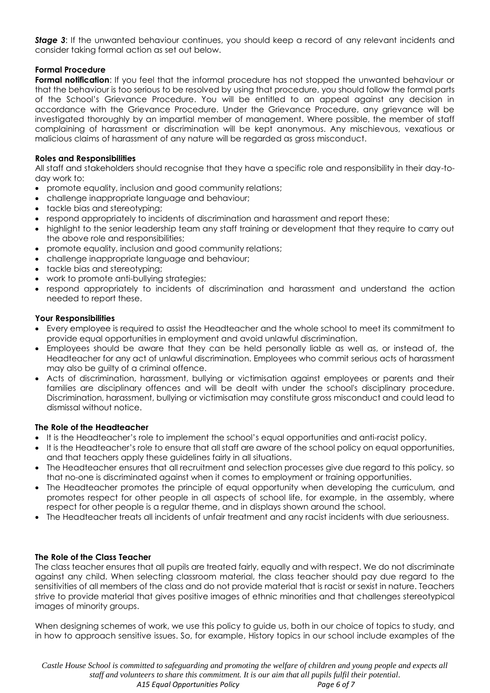**Stage 3:** If the unwanted behaviour continues, you should keep a record of any relevant incidents and consider taking formal action as set out below.

# **Formal Procedure**

**Formal notification**: If you feel that the informal procedure has not stopped the unwanted behaviour or that the behaviour is too serious to be resolved by using that procedure, you should follow the formal parts of the School's Grievance Procedure. You will be entitled to an appeal against any decision in accordance with the Grievance Procedure. Under the Grievance Procedure, any grievance will be investigated thoroughly by an impartial member of management. Where possible, the member of staff complaining of harassment or discrimination will be kept anonymous. Any mischievous, vexatious or malicious claims of harassment of any nature will be regarded as gross misconduct.

# **Roles and Responsibilities**

All staff and stakeholders should recognise that they have a specific role and responsibility in their day-today work to:

- promote equality, inclusion and good community relations;
- challenge inappropriate language and behaviour;
- tackle bias and stereotyping;
- respond appropriately to incidents of discrimination and harassment and report these;
- highlight to the senior leadership team any staff training or development that they require to carry out the above role and responsibilities;
- promote equality, inclusion and good community relations;
- challenge inappropriate language and behaviour;
- tackle bias and stereotyping;
- work to promote anti-bullying strategies;
- respond appropriately to incidents of discrimination and harassment and understand the action needed to report these.

## **Your Responsibilities**

- Every employee is required to assist the Headteacher and the whole school to meet its commitment to provide equal opportunities in employment and avoid unlawful discrimination.
- Employees should be aware that they can be held personally liable as well as, or instead of, the Headteacher for any act of unlawful discrimination. Employees who commit serious acts of harassment may also be guilty of a criminal offence.
- Acts of discrimination, harassment, bullying or victimisation against employees or parents and their families are disciplinary offences and will be dealt with under the school's disciplinary procedure. Discrimination, harassment, bullying or victimisation may constitute gross misconduct and could lead to dismissal without notice.

## **The Role of the Headteacher**

- It is the Headteacher's role to implement the school's equal opportunities and anti-racist policy.
- It is the Headteacher's role to ensure that all staff are aware of the school policy on equal opportunities, and that teachers apply these guidelines fairly in all situations.
- The Headteacher ensures that all recruitment and selection processes give due regard to this policy, so that no-one is discriminated against when it comes to employment or training opportunities.
- The Headteacher promotes the principle of equal opportunity when developing the curriculum, and promotes respect for other people in all aspects of school life, for example, in the assembly, where respect for other people is a regular theme, and in displays shown around the school.
- The Headteacher treats all incidents of unfair treatment and any racist incidents with due seriousness.

## **The Role of the Class Teacher**

The class teacher ensures that all pupils are treated fairly, equally and with respect. We do not discriminate against any child. When selecting classroom material, the class teacher should pay due regard to the sensitivities of all members of the class and do not provide material that is racist or sexist in nature. Teachers strive to provide material that gives positive images of ethnic minorities and that challenges stereotypical images of minority groups.

When designing schemes of work, we use this policy to guide us, both in our choice of topics to study, and in how to approach sensitive issues. So, for example, History topics in our school include examples of the